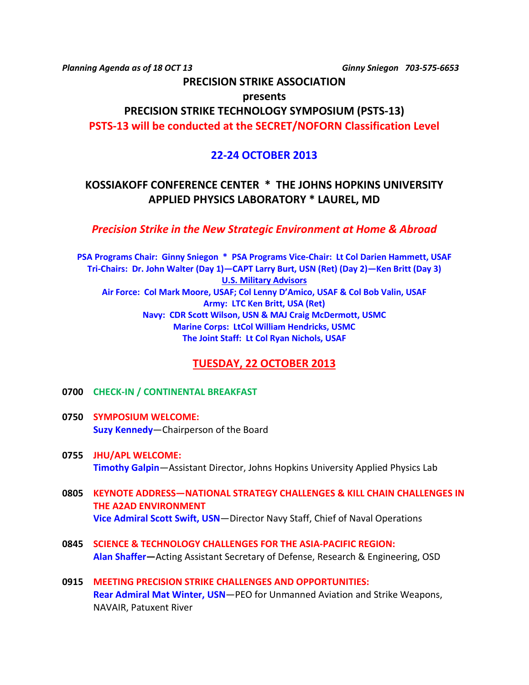*Planning Agenda as of 18 OCT 13 Ginny Sniegon 703-575-6653*

## **PRECISION STRIKE ASSOCIATION**

**presents**

# **PRECISION STRIKE TECHNOLOGY SYMPOSIUM (PSTS-13)**

**PSTS-13 will be conducted at the SECRET/NOFORN Classification Level**

## **22-24 OCTOBER 2013**

## **KOSSIAKOFF CONFERENCE CENTER \* THE JOHNS HOPKINS UNIVERSITY APPLIED PHYSICS LABORATORY \* LAUREL, MD**

## *Precision Strike in the New Strategic Environment at Home & Abroad*

**PSA Programs Chair: Ginny Sniegon \* PSA Programs Vice-Chair: Lt Col Darien Hammett, USAF Tri-Chairs: Dr. John Walter (Day 1)—CAPT Larry Burt, USN (Ret) (Day 2)—Ken Britt (Day 3) U.S. Military Advisors Air Force: Col Mark Moore, USAF; Col Lenny D'Amico, USAF & Col Bob Valin, USAF Army: LTC Ken Britt, USA (Ret) Navy: CDR Scott Wilson, USN & MAJ Craig McDermott, USMC Marine Corps: LtCol William Hendricks, USMC The Joint Staff: Lt Col Ryan Nichols, USAF**

## **TUESDAY, 22 OCTOBER 2013**

### **0700 CHECK-IN / CONTINENTAL BREAKFAST**

- **0750 SYMPOSIUM WELCOME: Suzy Kennedy**—Chairperson of the Board
- **0755 JHU/APL WELCOME: Timothy Galpin**—Assistant Director, Johns Hopkins University Applied Physics Lab
- **0805 KEYNOTE ADDRESS—NATIONAL STRATEGY CHALLENGES & KILL CHAIN CHALLENGES IN THE A2AD ENVIRONMENT Vice Admiral Scott Swift, USN**—Director Navy Staff, Chief of Naval Operations
- **0845 SCIENCE & TECHNOLOGY CHALLENGES FOR THE ASIA-PACIFIC REGION: Alan Shaffer—**Acting Assistant Secretary of Defense, Research & Engineering, OSD
- **0915 MEETING PRECISION STRIKE CHALLENGES AND OPPORTUNITIES: Rear Admiral Mat Winter, USN**—PEO for Unmanned Aviation and Strike Weapons, NAVAIR, Patuxent River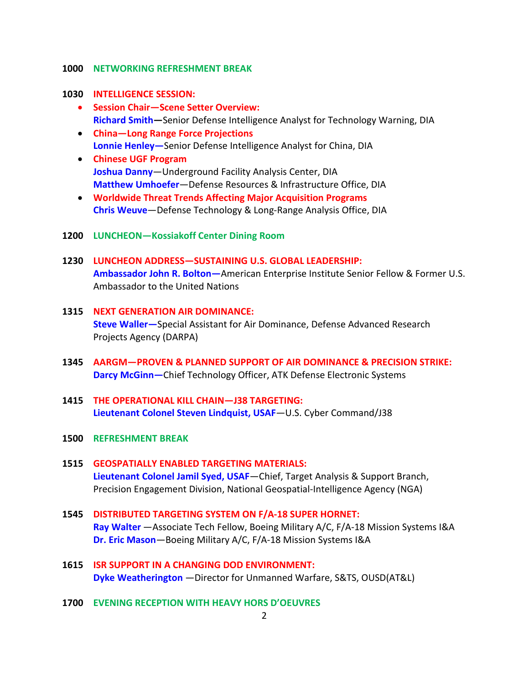#### **1000 NETWORKING REFRESHMENT BREAK**

#### **1030 INTELLIGENCE SESSION:**

- **Session Chair—Scene Setter Overview: Richard Smith—**Senior Defense Intelligence Analyst for Technology Warning, DIA
- **China—Long Range Force Projections Lonnie Henley—**Senior Defense Intelligence Analyst for China, DIA
- **Chinese UGF Program Joshua Danny**—Underground Facility Analysis Center, DIA **Matthew Umhoefer**—Defense Resources & Infrastructure Office, DIA
- **Worldwide Threat Trends Affecting Major Acquisition Programs Chris Weuve**—Defense Technology & Long-Range Analysis Office, DIA
- **1200 LUNCHEON—Kossiakoff Center Dining Room**
- **1230 LUNCHEON ADDRESS—SUSTAINING U.S. GLOBAL LEADERSHIP: Ambassador John R. Bolton—**American Enterprise Institute Senior Fellow & Former U.S. Ambassador to the United Nations
- **1315 NEXT GENERATION AIR DOMINANCE: Steve Waller—**Special Assistant for Air Dominance, Defense Advanced Research Projects Agency (DARPA)
- **1345 AARGM—PROVEN & PLANNED SUPPORT OF AIR DOMINANCE & PRECISION STRIKE: Darcy McGinn—**Chief Technology Officer, ATK Defense Electronic Systems
- **1415 THE OPERATIONAL KILL CHAIN—J38 TARGETING: Lieutenant Colonel Steven Lindquist, USAF***—*U.S. Cyber Command/J38
- **1500 REFRESHMENT BREAK**
- **1515 GEOSPATIALLY ENABLED TARGETING MATERIALS: Lieutenant Colonel Jamil Syed, USAF**—Chief, Target Analysis & Support Branch, Precision Engagement Division, National Geospatial-Intelligence Agency (NGA)
- **1545 DISTRIBUTED TARGETING SYSTEM ON F/A-18 SUPER HORNET: Ray Walter** —Associate Tech Fellow, Boeing Military A/C, F/A-18 Mission Systems I&A **Dr. Eric Mason**—Boeing Military A/C, F/A-18 Mission Systems I&A
- **1615 ISR SUPPORT IN A CHANGING DOD ENVIRONMENT: Dyke Weatherington** —Director for Unmanned Warfare, S&TS, OUSD(AT&L)
- **1700 EVENING RECEPTION WITH HEAVY HORS D'OEUVRES**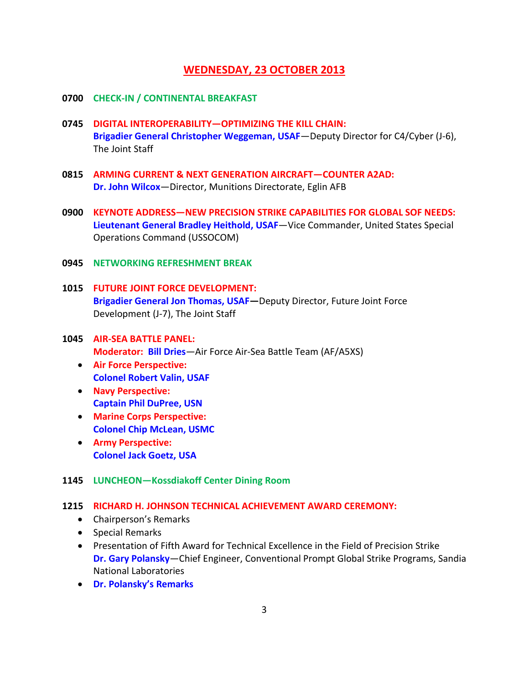### **WEDNESDAY, 23 OCTOBER 2013**

#### **0700 CHECK-IN / CONTINENTAL BREAKFAST**

- **0745 DIGITAL INTEROPERABILITY—OPTIMIZING THE KILL CHAIN: Brigadier General Christopher Weggeman, USAF**—Deputy Director for C4/Cyber (J-6), The Joint Staff
- **0815 ARMING CURRENT & NEXT GENERATION AIRCRAFT—COUNTER A2AD: Dr. John Wilcox**—Director, Munitions Directorate, Eglin AFB
- **0900 KEYNOTE ADDRESS—NEW PRECISION STRIKE CAPABILITIES FOR GLOBAL SOF NEEDS: Lieutenant General Bradley Heithold, USAF**—Vice Commander, United States Special Operations Command (USSOCOM)
- **0945 NETWORKING REFRESHMENT BREAK**
- **1015 FUTURE JOINT FORCE DEVELOPMENT: Brigadier General Jon Thomas, USAF—**Deputy Director, Future Joint Force Development (J-7), The Joint Staff
- **1045 AIR-SEA BATTLE PANEL: Moderator: Bill Dries**—Air Force Air-Sea Battle Team (AF/A5XS)
	- **Air Force Perspective: Colonel Robert Valin, USAF**
	- **Navy Perspective: Captain Phil DuPree, USN**
	- **Marine Corps Perspective: Colonel Chip McLean, USMC**
	- **Army Perspective: Colonel Jack Goetz, USA**

#### **1145 LUNCHEON—Kossdiakoff Center Dining Room**

#### **1215 RICHARD H. JOHNSON TECHNICAL ACHIEVEMENT AWARD CEREMONY:**

- Chairperson's Remarks
- Special Remarks
- Presentation of Fifth Award for Technical Excellence in the Field of Precision Strike **Dr. Gary Polansky**—Chief Engineer, Conventional Prompt Global Strike Programs, Sandia National Laboratories
- **Dr. Polansky's Remarks**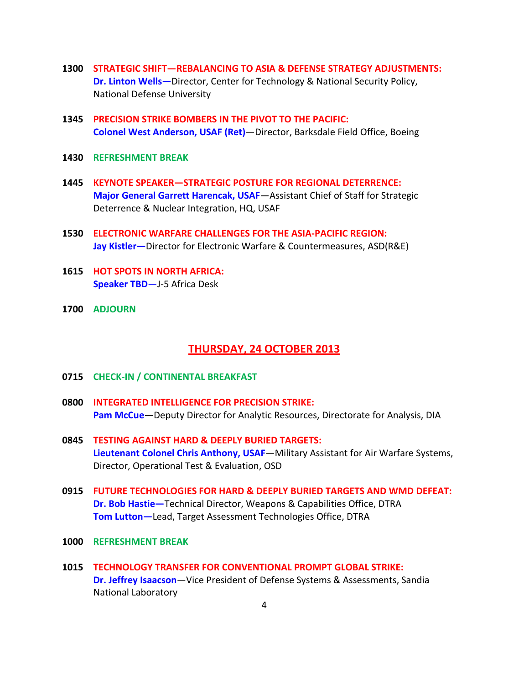- **1300 STRATEGIC SHIFT—REBALANCING TO ASIA & DEFENSE STRATEGY ADJUSTMENTS: Dr. Linton Wells—**Director, Center for Technology & National Security Policy, National Defense University
- **1345 PRECISION STRIKE BOMBERS IN THE PIVOT TO THE PACIFIC: Colonel West Anderson, USAF (Ret)**—Director, Barksdale Field Office, Boeing
- **1430 REFRESHMENT BREAK**
- **1445 KEYNOTE SPEAKER—STRATEGIC POSTURE FOR REGIONAL DETERRENCE: Major General Garrett Harencak, USAF**—Assistant Chief of Staff for Strategic Deterrence & Nuclear Integration, HQ, USAF
- **1530 ELECTRONIC WARFARE CHALLENGES FOR THE ASIA-PACIFIC REGION: Jay Kistler—**Director for Electronic Warfare & Countermeasures, ASD(R&E)
- **1615 HOT SPOTS IN NORTH AFRICA: Speaker TBD**—J-5 Africa Desk
- **1700 ADJOURN**

## **THURSDAY, 24 OCTOBER 2013**

- **0715 CHECK-IN / CONTINENTAL BREAKFAST**
- **0800 INTEGRATED INTELLIGENCE FOR PRECISION STRIKE: Pam McCue**—Deputy Director for Analytic Resources, Directorate for Analysis, DIA
- **0845 TESTING AGAINST HARD & DEEPLY BURIED TARGETS: Lieutenant Colonel Chris Anthony, USAF**—Military Assistant for Air Warfare Systems, Director, Operational Test & Evaluation, OSD
- **0915 FUTURE TECHNOLOGIES FOR HARD & DEEPLY BURIED TARGETS AND WMD DEFEAT: Dr. Bob Hastie—**Technical Director, Weapons & Capabilities Office, DTRA **Tom Lutton—**Lead, Target Assessment Technologies Office, DTRA
- **1000 REFRESHMENT BREAK**
- **1015 TECHNOLOGY TRANSFER FOR CONVENTIONAL PROMPT GLOBAL STRIKE: Dr. Jeffrey Isaacson**—Vice President of Defense Systems & Assessments, Sandia National Laboratory